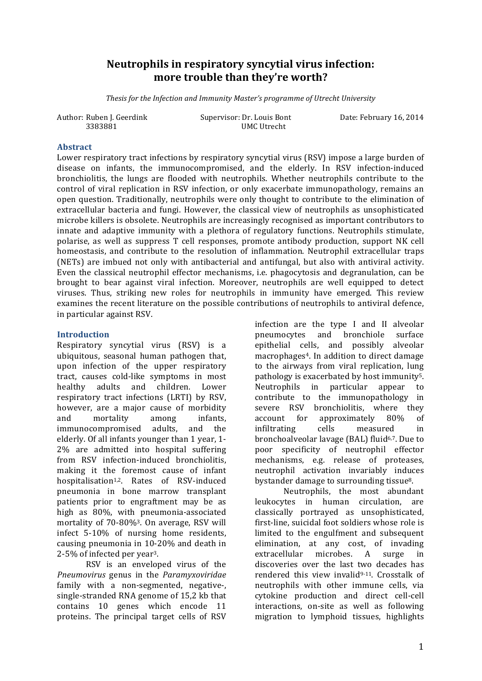# Neutrophils in respiratory syncytial virus infection: more trouble than they're worth?

*Thesis for the Infection and Immunity Master's programme of Utrecht University* 

Author: Ruben J. Geerdink Supervisor: Dr. Louis Bont Date: February 16, 2014

3383881 UMC Utrecht

### **Abstract**

Lower respiratory tract infections by respiratory syncytial virus (RSV) impose a large burden of disease on infants, the immunocompromised, and the elderly. In RSV infection-induced bronchiolitis, the lungs are flooded with neutrophils. Whether neutrophils contribute to the control of viral replication in RSV infection, or only exacerbate immunopathology, remains an open question. Traditionally, neutrophils were only thought to contribute to the elimination of extracellular bacteria and fungi. However, the classical view of neutrophils as unsophisticated microbe killers is obsolete. Neutrophils are increasingly recognised as important contributors to innate and adaptive immunity with a plethora of regulatory functions. Neutrophils stimulate, polarise, as well as suppress T cell responses, promote antibody production, support NK cell homeostasis, and contribute to the resolution of inflammation. Neutrophil extracellular traps (NETs) are imbued not only with antibacterial and antifungal, but also with antiviral activity. Even the classical neutrophil effector mechanisms, i.e. phagocytosis and degranulation, can be brought to bear against viral infection. Moreover, neutrophils are well equipped to detect viruses. Thus, striking new roles for neutrophils in immunity have emerged. This review examines the recent literature on the possible contributions of neutrophils to antiviral defence, in particular against RSV.

### **Introduction**

Respiratory syncytial virus (RSV) is a ubiquitous, seasonal human pathogen that, upon infection of the upper respiratory tract, causes cold-like symptoms in most healthy adults and children. Lower respiratory tract infections (LRTI) by RSV. however, are a major cause of morbidity and mortality among infants, immunocompromised adults, and the elderly. Of all infants younger than 1 year, 1-2% are admitted into hospital suffering from RSV infection-induced bronchiolitis, making it the foremost cause of infant hospitalisation<sup>1,2</sup>. Rates of RSV-induced pneumonia in bone marrow transplant patients prior to engraftment may be as high as 80%, with pneumonia-associated mortality of  $70-80\%$ <sup>3</sup>. On average, RSV will infect 5-10% of nursing home residents, causing pneumonia in 10-20% and death in 2-5% of infected per vear<sup>3</sup>.

RSV is an enveloped virus of the *Pneumovirus* genus in the *Paramyxoviridae* family with a non-segmented, negative-, single-stranded RNA genome of 15,2 kb that contains 10 genes which encode 11 proteins. The principal target cells of RSV

infection are the type I and II alveolar pneumocytes and bronchiole surface epithelial cells, and possibly alveolar macrophages<sup>4</sup>. In addition to direct damage to the airways from viral replication, lung pathology is exacerbated by host immunity<sup>5</sup>. Neutrophils in particular appear to contribute to the immunopathology in severe RSV bronchiolitis, where they account for approximately 80% of infiltrating cells measured in bronchoalveolar lavage (BAL) fluid<sup>6,7</sup>. Due to poor specificity of neutrophil effector mechanisms, e.g. release of proteases, neutrophil activation invariably induces bystander damage to surrounding tissue<sup>8</sup>.

Neutrophils, the most abundant leukocytes in human circulation, are classically portrayed as unsophisticated, first-line, suicidal foot soldiers whose role is limited to the engulfment and subsequent elimination, at any cost, of invading extracellular microbes. A surge in discoveries over the last two decades has rendered this view invalid $9-11$ . Crosstalk of neutrophils with other immune cells, via cytokine production and direct cell-cell interactions, on-site as well as following migration to lymphoid tissues, highlights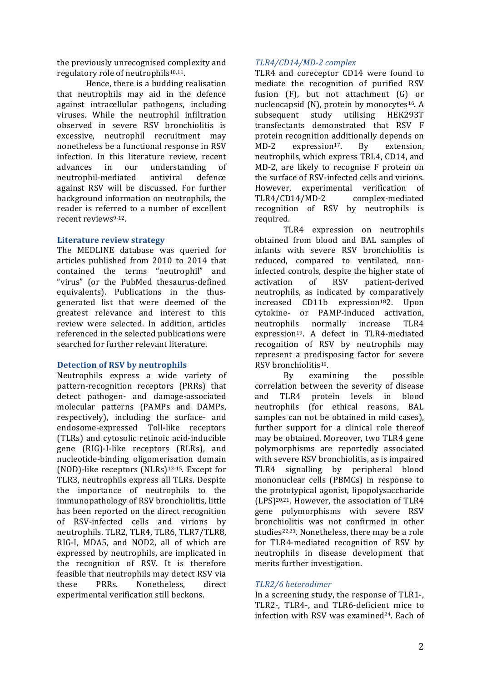the previously unrecognised complexity and regulatory role of neutrophils $10,11$ .

Hence, there is a budding realisation that neutrophils may aid in the defence against intracellular pathogens, including viruses. While the neutrophil infiltration observed in severe RSV bronchiolitis is excessive, neutrophil recruitment may nonetheless be a functional response in RSV infection. In this literature review, recent advances in our understanding of neutrophil-mediated antiviral defence against RSV will be discussed. For further background information on neutrophils, the reader is referred to a number of excellent recent reviews<sup>9-12</sup>.

### **Literature review strategy**

The MEDLINE database was queried for articles published from 2010 to 2014 that contained the terms "neutrophil" and "virus" (or the PubMed thesaurus-defined equivalents). Publications in the thusgenerated list that were deemed of the greatest relevance and interest to this review were selected. In addition, articles referenced in the selected publications were searched for further relevant literature.

#### **Detection of RSV by neutrophils**

Neutrophils express a wide variety of pattern-recognition receptors (PRRs) that detect pathogen- and damage-associated molecular patterns (PAMPs and DAMPs, respectively), including the surface- and endosome-expressed Toll-like receptors (TLRs) and cytosolic retinoic acid-inducible gene (RIG)-I-like receptors (RLRs), and nucleotide-binding oligomerisation domain (NOD)-like receptors  $(NLRs)^{13-15}$ . Except for TLR3, neutrophils express all TLRs. Despite the importance of neutrophils to the immunopathology of RSV bronchiolitis, little has been reported on the direct recognition of RSV-infected cells and virions by neutrophils. TLR2, TLR4, TLR6, TLR7/TLR8, RIG-I, MDA5, and NOD2, all of which are expressed by neutrophils, are implicated in the recognition of RSV. It is therefore feasible that neutrophils may detect RSV via these PRRs. Nonetheless, direct experimental verification still beckons.

# *TLR4/CD14/MD-2 complex*

TLR4 and coreceptor CD14 were found to mediate the recognition of purified RSV fusion  $(F)$ , but not attachment  $(G)$  or nucleocapsid  $(N)$ , protein by monocytes<sup>16</sup>. A subsequent study utilising HEK293T transfectants demonstrated that RSV F protein recognition additionally depends on MD-2 expression<sup>17</sup>. By extension, neutrophils, which express TRL4, CD14, and MD-2, are likely to recognise F protein on the surface of RSV-infected cells and virions. However, experimental verification of TLR4/CD14/MD-2 complex-mediated recognition of RSV by neutrophils is required. 

TLR4 expression on neutrophils obtained from blood and BAL samples of infants with severe RSV bronchiolitis is reduced, compared to ventilated, noninfected controls, despite the higher state of activation of RSV patient-derived neutrophils, as indicated by comparatively increased CD11b expression<sup>18</sup>2. Upon cytokine- or PAMP-induced activation, neutrophils normally increase TLR4 expression<sup>19</sup>. A defect in TLR4-mediated recognition of RSV by neutrophils may represent a predisposing factor for severe RSV bronchiolitis<sup>18</sup>.

By examining the possible correlation between the severity of disease and TLR4 protein levels in blood neutrophils (for ethical reasons, BAL samples can not be obtained in mild cases). further support for a clinical role thereof may be obtained. Moreover, two TLR4 gene polymorphisms are reportedly associated with severe RSV bronchiolitis, as is impaired TLR4 signalling by peripheral blood mononuclear cells (PBMCs) in response to the prototypical agonist, lipopolysaccharide  $(LPS)^{20,21}$ . However, the association of TLR4 gene polymorphisms with severe RSV bronchiolitis was not confirmed in other studies<sup>22,23</sup>. Nonetheless, there may be a role for TLR4-mediated recognition of RSV by neutrophils in disease development that merits further investigation.

# *TLR2/6 heterodimer*

In a screening study, the response of TLR1-, TLR2-, TLR4-, and TLR6-deficient mice to infection with RSV was examined $24$ . Each of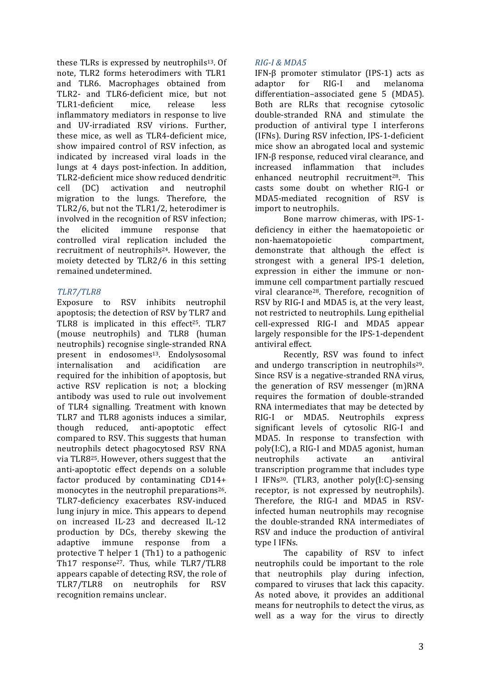these TLRs is expressed by neutrophils<sup>13</sup>. Of note, TLR2 forms heterodimers with TLR1 and TLR6. Macrophages obtained from TLR2- and TLR6-deficient mice, but not TLR1-deficient mice. release less inflammatory mediators in response to live and UV-irradiated RSV virions. Further, these mice, as well as TLR4-deficient mice. show impaired control of RSV infection, as indicated by increased viral loads in the lungs at 4 days post-infection. In addition, TLR2-deficient mice show reduced dendritic cell (DC) activation and neutrophil migration to the lungs. Therefore, the TLR2/6, but not the TLR1/2, heterodimer is involved in the recognition of RSV infection; the elicited immune response that controlled viral replication included the recruitment of neutrophils<sup>24</sup>. However, the moiety detected by TLR2/6 in this setting remained undetermined.

# *TLR7/TLR8*

Exposure to RSV inhibits neutrophil apoptosis; the detection of RSV by TLR7 and TLR8 is implicated in this effect<sup>25</sup>. TLR7 (mouse neutrophils) and TLR8 (human neutrophils) recognise single-stranded RNA present in endosomes<sup>13</sup>. Endolysosomal internalisation and acidification are required for the inhibition of apoptosis, but active RSV replication is not: a blocking antibody was used to rule out involvement of TLR4 signalling. Treatment with known TLR7 and TLR8 agonists induces a similar, though reduced, anti-apoptotic effect compared to RSV. This suggests that human neutrophils detect phagocytosed RSV RNA via TLR8<sup>25</sup>. However, others suggest that the anti-apoptotic effect depends on a soluble factor produced by contaminating  $CD14+$ monocytes in the neutrophil preparations<sup>26</sup>. TLR7-deficiency exacerbates RSV-induced lung injury in mice. This appears to depend on increased IL-23 and decreased IL-12 production by DCs, thereby skewing the adaptive immune response from a protective  $T$  helper  $1$  (Th1) to a pathogenic Th17 response<sup>27</sup>. Thus, while TLR7/TLR8 appears capable of detecting RSV, the role of TLR7/TLR8 on neutrophils for RSV recognition remains unclear.

# *RIG-I & MDA5*

IFN- $\beta$  promoter stimulator (IPS-1) acts as adaptor for RIG-I and melanoma differentiation–associated gene 5 (MDA5). Both are RLRs that recognise cytosolic double-stranded RNA and stimulate the production of antiviral type I interferons (IFNs). During RSV infection, IPS-1-deficient mice show an abrogated local and systemic IFN-ß response, reduced viral clearance, and increased inflammation that includes enhanced neutrophil recruitment<sup>28</sup>. This casts some doubt on whether RIG-I or MDA5-mediated recognition of RSV is import to neutrophils.

Bone marrow chimeras, with IPS-1deficiency in either the haematopoietic or non-haematopoietic compartment, demonstrate that although the effect is strongest with a general IPS-1 deletion, expression in either the immune or nonimmune cell compartment partially rescued viral clearance<sup>28</sup>. Therefore, recognition of RSV by RIG-I and MDA5 is, at the very least, not restricted to neutrophils. Lung epithelial cell-expressed RIG-I and MDA5 appear largely responsible for the IPS-1-dependent antiviral effect.

Recently, RSV was found to infect and undergo transcription in neutrophils<sup>29</sup>. Since RSV is a negative-stranded RNA virus, the generation of RSV messenger (m)RNA requires the formation of double-stranded RNA intermediates that may be detected by RIG-I or MDA5. Neutrophils express significant levels of cytosolic RIG-I and MDA5. In response to transfection with poly(I:C), a RIG-I and MDA5 agonist, human neutrophils activate an antiviral transcription programme that includes type I IFNs<sup>30</sup>. (TLR3, another  $poly(I:C)$ -sensing receptor, is not expressed by neutrophils). Therefore, the RIG-I and MDA5 in RSVinfected human neutrophils may recognise the double-stranded RNA intermediates of RSV and induce the production of antiviral type I IFNs.

The capability of RSV to infect neutrophils could be important to the role that neutrophils play during infection, compared to viruses that lack this capacity. As noted above, it provides an additional means for neutrophils to detect the virus, as well as a way for the virus to directly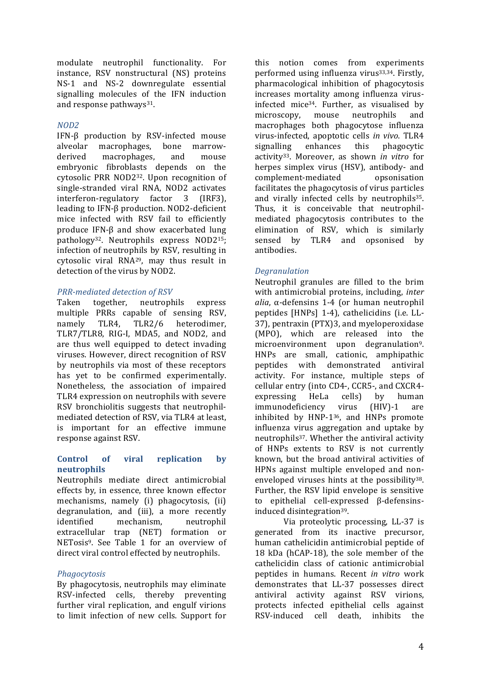modulate neutrophil functionality. For instance, RSV nonstructural (NS) proteins NS-1 and NS-2 downregulate essential signalling molecules of the IFN induction and response pathways<sup>31</sup>.

# *NOD2*

IFN-β production by RSV-infected mouse alveolar macrophages, bone marrowderived macrophages, and mouse embryonic fibroblasts depends on the cytosolic PRR NOD2<sup>32</sup>. Upon recognition of single-stranded viral RNA, NOD2 activates interferon-regulatory factor 3 (IRF3), leading to IFN-β production. NOD2-deficient mice infected with RSV fail to efficiently produce IFN-β and show exacerbated lung pathology<sup>32</sup>. Neutrophils express NOD2<sup>15</sup>; infection of neutrophils by RSV, resulting in cytosolic viral  $\text{RNA}^{29}$ , may thus result in detection of the virus by NOD2.

# *PRR-mediated detection of RSV*

Taken together, neutrophils express multiple PRRs capable of sensing RSV, namely TLR4, TLR2/6 heterodimer, TLR7/TLR8, RIG-I, MDA5, and NOD2, and are thus well equipped to detect invading viruses. However, direct recognition of RSV by neutrophils via most of these receptors has yet to be confirmed experimentally. Nonetheless, the association of impaired TLR4 expression on neutrophils with severe RSV bronchiolitis suggests that neutrophilmediated detection of RSV, via TLR4 at least, is important for an effective immune response against RSV.

### Control of viral replication by **neutrophils**

Neutrophils mediate direct antimicrobial effects by, in essence, three known effector mechanisms, namely (i) phagocytosis, (ii) degranulation, and (iii), a more recently identified mechanism, neutrophil extracellular trap (NET) formation or NETosis<sup>9</sup>. See Table 1 for an overview of direct viral control effected by neutrophils.

# *Phagocytosis*

By phagocytosis, neutrophils may eliminate RSV-infected cells, thereby preventing further viral replication, and engulf virions to limit infection of new cells. Support for

this notion comes from experiments performed using influenza virus<sup>33,34</sup>. Firstly, pharmacological inhibition of phagocytosis increases mortality among influenza virusinfected mice<sup>34</sup>. Further, as visualised by microscopy, mouse neutrophils and macrophages both phagocytose influenza virus-infected, apoptotic cells *in vivo*. TLR4 signalling enhances this phagocytic activity33. Moreover, as shown *in vitro* for herpes simplex virus (HSV), antibody- and complement-mediated opsonisation facilitates the phagocytosis of virus particles and virally infected cells by neutrophils<sup>35</sup>. Thus, it is conceivable that neutrophilmediated phagocytosis contributes to the elimination of RSV, which is similarly sensed by TLR4 and opsonised by antibodies.

# *Degranulation*

Neutrophil granules are filled to the brim with antimicrobial proteins, including, *inter alia*, α-defensins 1-4 (or human neutrophil peptides [HNPs] 1-4), cathelicidins (i.e. LL-37), pentraxin (PTX)3, and myeloperoxidase (MPO), which are released into the microenvironment upon degranulation<sup>9</sup>. HNPs are small, cationic, amphipathic peptides with demonstrated antiviral activity. For instance, multiple steps of cellular entry (into CD4-, CCR5-, and CXCR4expressing HeLa cells) by human immunodeficiency virus (HIV)-1 are inhibited by HNP- $1^{36}$ , and HNPs promote influenza virus aggregation and uptake by neutrophils<sup>37</sup>. Whether the antiviral activity of HNPs extents to RSV is not currently known, but the broad antiviral activities of HPNs against multiple enveloped and nonenveloped viruses hints at the possibility $38$ . Further, the RSV lipid envelope is sensitive to epithelial cell-expressed β-defensinsinduced disintegration<sup>39</sup>.

Via proteolytic processing, LL-37 is generated from its inactive precursor, human cathelicidin antimicrobial peptide of 18 kDa (hCAP-18), the sole member of the cathelicidin class of cationic antimicrobial peptides in humans. Recent *in vitro* work demonstrates that LL-37 possesses direct antiviral activity against RSV virions, protects infected epithelial cells against RSV-induced cell death, inhibits the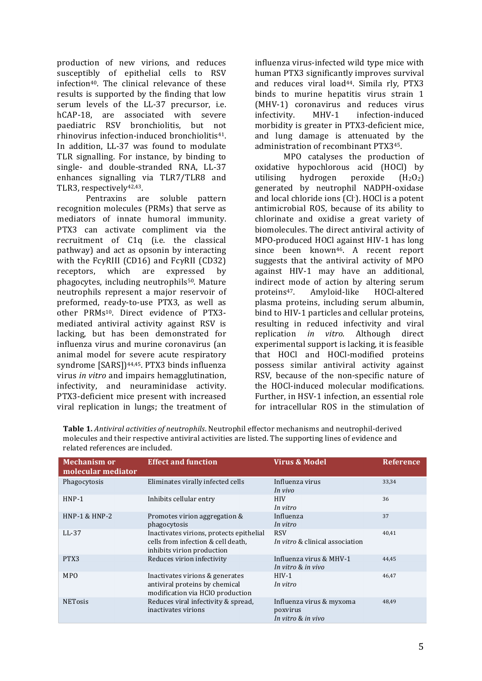production of new virions, and reduces susceptibly of epithelial cells to RSV infection<sup>40</sup>. The clinical relevance of these results is supported by the finding that low serum levels of the LL-37 precursor, i.e. hCAP-18, are associated with severe paediatric RSV bronchiolitis, but not rhinovirus infection-induced bronchiolitis<sup>41</sup>. In addition, LL-37 was found to modulate TLR signalling. For instance, by binding to single- and double-stranded RNA, LL-37 enhances signalling via TLR7/TLR8 and TLR3, respectively<sup>42,43</sup>.

Pentraxins are soluble pattern recognition molecules (PRMs) that serve as mediators of innate humoral immunity. PTX3 can activate compliment via the recruitment of C1q (i.e. the classical pathway) and act as opsonin by interacting with the  $Fc\gamma$ RIII (CD16) and  $Fc\gamma$ RII (CD32) receptors, which are expressed by phagocytes, including neutrophils<sup>50</sup>. Mature neutrophils represent a major reservoir of preformed, ready-to-use PTX3, as well as other PRMs<sup>10</sup>. Direct evidence of PTX3mediated antiviral activity against RSV is lacking, but has been demonstrated for influenza virus and murine coronavirus (an animal model for severe acute respiratory syndrome [SARS])<sup>44,45</sup>. PTX3 binds influenza virus *in vitro* and impairs hemagglutination, infectivity, and neuraminidase activity. PTX3-deficient mice present with increased viral replication in lungs; the treatment of

influenza virus-infected wild type mice with human PTX3 significantly improves survival and reduces viral load<sup>44</sup>. Simila rly, PTX3 binds to murine hepatitis virus strain 1 (MHV-1) coronavirus and reduces virus infectivity. MHV-1 infection-induced morbidity is greater in PTX3-deficient mice. and lung damage is attenuated by the administration of recombinant PTX345.

MPO catalyses the production of oxidative hypochlorous acid (HOCl) by utilising hydrogen peroxide  $(H_2O_2)$ generated by neutrophil NADPH-oxidase and local chloride ions (Cl<sup>-</sup>). HOCl is a potent antimicrobial ROS, because of its ability to chlorinate and oxidise a great variety of biomolecules. The direct antiviral activity of MPO-produced HOCl against HIV-1 has long since been known<sup>46</sup>. A recent report suggests that the antiviral activity of MPO against HIV-1 may have an additional, indirect mode of action by altering serum proteins47. Amyloid-like HOCl-altered plasma proteins, including serum albumin, bind to HIV-1 particles and cellular proteins, resulting in reduced infectivity and viral replication *in vitro*. Although direct experimental support is lacking, it is feasible that HOCl and HOCl-modified proteins possess similar antiviral activity against RSV, because of the non-specific nature of the HOCl-induced molecular modifications. Further, in HSV-1 infection, an essential role for intracellular ROS in the stimulation of

| <b>Mechanism or</b><br>molecular mediator | <b>Effect and function</b>                                                                                   | <b>Virus &amp; Model</b>                                   | <b>Reference</b> |
|-------------------------------------------|--------------------------------------------------------------------------------------------------------------|------------------------------------------------------------|------------------|
| Phagocytosis                              | Eliminates virally infected cells                                                                            | Influenza virus<br>In vivo                                 | 33,34            |
| $HNP-1$                                   | Inhibits cellular entry                                                                                      | <b>HIV</b><br>In vitro                                     | 36               |
| $HNP-1$ & $HNP-2$                         | Promotes virion aggregation &<br>phagocytosis                                                                | Influenza<br>In vitro                                      | 37               |
| $LL-37$                                   | Inactivates virions, protects epithelial<br>cells from infection & cell death,<br>inhibits virion production | <b>RSV</b><br>In vitro & clinical association              | 40,41            |
| PTX3                                      | Reduces virion infectivity                                                                                   | Influenza virus & MHV-1<br>In vitro & in vivo              | 44,45            |
| MP <sub>O</sub>                           | Inactivates virions & generates<br>antiviral proteins by chemical<br>modification via HClO production        | $HIV-1$<br>In vitro                                        | 46.47            |
| <b>NETosis</b>                            | Reduces viral infectivity & spread,<br>inactivates virions                                                   | Influenza virus & myxoma<br>poxvirus<br>In vitro & in vivo | 48,49            |

Table 1. *Antiviral activities of neutrophils*. Neutrophil effector mechanisms and neutrophil-derived molecules and their respective antiviral activities are listed. The supporting lines of evidence and related references are included.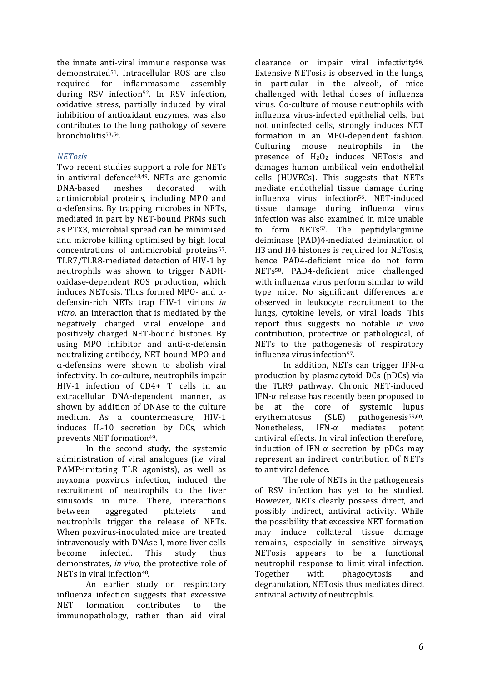the innate anti-viral immune response was demonstrated<sup>51</sup>. Intracellular ROS are also required for inflammasome assembly during RSV infection<sup>52</sup>. In RSV infection, oxidative stress, partially induced by viral inhibition of antioxidant enzymes, was also contributes to the lung pathology of severe bronchiolitis53,54. 

# *NETosis*

Two recent studies support a role for NETs in antiviral defence  $48,49$ . NETs are genomic DNA-based meshes decorated with antimicrobial proteins, including MPO and  $\alpha$ -defensins. By trapping microbes in NETs, mediated in part by NET-bound PRMs such as PTX3, microbial spread can be minimised and microbe killing optimised by high local concentrations of antimicrobial proteins<sup>55</sup>. TLR7/TLR8-mediated detection of HIV-1 by neutrophils was shown to trigger NADHoxidase-dependent ROS production, which induces NETosis. Thus formed MPO- and  $\alpha$ defensin-rich NETs trap HIV-1 virions *in*  vitro, an interaction that is mediated by the negatively charged viral envelope and positively charged NET-bound histones. By using MPO inhibitor and anti-α-defensin neutralizing antibody, NET-bound MPO and  $\alpha$ -defensins were shown to abolish viral infectivity. In co-culture, neutrophils impair HIV-1 infection of CD4+ T cells in an extracellular DNA-dependent manner, as shown by addition of DNAse to the culture medium. As a countermeasure, HIV-1 induces IL-10 secretion by DCs, which prevents NET formation<sup>49</sup>.

In the second study, the systemic administration of viral analogues (i.e. viral PAMP-imitating TLR agonists), as well as myxoma poxvirus infection, induced the recruitment of neutrophils to the liver sinusoids in mice. There, interactions between aggregated platelets and neutrophils trigger the release of NETs. When poxvirus-inoculated mice are treated intravenously with DNAse I, more liver cells become infected. This study thus demonstrates, *in vivo*, the protective role of NETs in viral infection<sup>48</sup>.

An earlier study on respiratory influenza infection suggests that excessive NET formation contributes to the immunopathology, rather than aid viral

clearance or impair viral infectivity<sup>56</sup>. Extensive NETosis is observed in the lungs, in particular in the alveoli, of mice challenged with lethal doses of influenza virus. Co-culture of mouse neutrophils with influenza virus-infected epithelial cells, but not uninfected cells, strongly induces NET formation in an MPO-dependent fashion. Culturing mouse neutrophils in the presence of  $H_2O_2$  induces NETosis and damages human umbilical vein endothelial cells (HUVECs). This suggests that NETs mediate endothelial tissue damage during influenza virus infection<sup>56</sup>. NET-induced tissue damage during influenza virus infection was also examined in mice unable to form NETs<sup>57</sup>. The nentidylarginine deiminase (PAD)4-mediated deimination of H3 and H4 histones is required for NETosis, hence PAD4-deficient mice do not form NETs<sup>58</sup>. PAD4-deficient mice challenged with influenza virus perform similar to wild type mice. No significant differences are observed in leukocyte recruitment to the lungs, cytokine levels, or viral loads. This report thus suggests no notable *in vivo* contribution, protective or pathological, of NETs to the pathogenesis of respiratory influenza virus infection<sup>57</sup>.

In addition, NETs can trigger IFN- $\alpha$ production by plasmacytoid DCs (pDCs) via the TLR9 pathway. Chronic NET-induced IFN- $\alpha$  release has recently been proposed to be at the core of systemic lupus erythematosus  $(SLE)$  pathogenesis<sup>59,60</sup>. Nonetheless, IFN- $\alpha$  mediates potent antiviral effects. In viral infection therefore, induction of IFN- $\alpha$  secretion by pDCs may represent an indirect contribution of NETs to antiviral defence.

The role of NETs in the pathogenesis of RSV infection has yet to be studied. However, NETs clearly possess direct, and possibly indirect, antiviral activity. While the possibility that excessive NET formation may induce collateral tissue damage remains, especially in sensitive airways, NETosis appears to be a functional neutrophil response to limit viral infection. Together with phagocytosis and degranulation, NETosis thus mediates direct antiviral activity of neutrophils.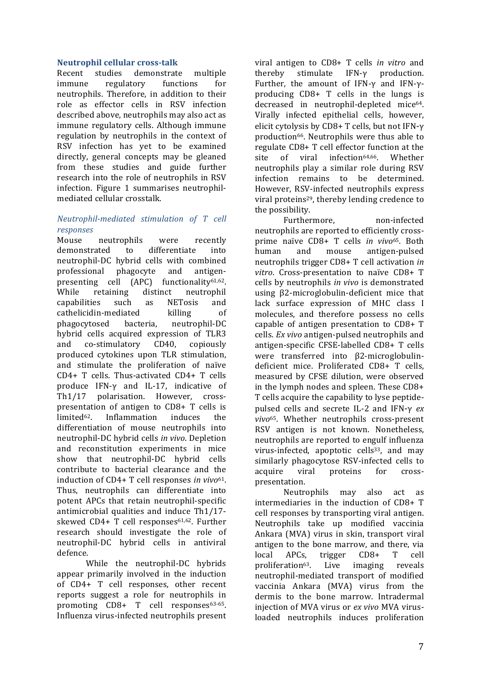### **Neutrophil cellular cross-talk**

Recent studies demonstrate multiple immune regulatory functions for neutrophils. Therefore, in addition to their role as effector cells in RSV infection described above, neutrophils may also act as immune regulatory cells. Although immune regulation by neutrophils in the context of RSV infection has yet to be examined directly, general concepts may be gleaned from these studies and guide further research into the role of neutrophils in RSV infection. Figure 1 summarises neutrophilmediated cellular crosstalk.

# *Neutrophil-mediated stimulation of T cell responses*

Mouse neutrophils were recently demonstrated to differentiate into neutrophil-DC hybrid cells with combined professional phagocyte and antigenpresenting cell (APC) functionality<sup>61,62</sup>. While retaining distinct neutrophil capabilities such as NETosis and cathelicidin-mediated killing of phagocytosed bacteria, neutrophil-DC hybrid cells acquired expression of TLR3 and co-stimulatory CD40, copiously produced cytokines upon TLR stimulation, and stimulate the proliferation of naïve CD4+ T cells. Thus-activated CD4+ T cells produce IFN-γ and IL-17, indicative of Th1/17 polarisation. However, crosspresentation of antigen to  $CD8+T$  cells is limited<sup>62</sup>. Inflammation induces the differentiation of mouse neutrophils into neutrophil-DC hybrid cells *in vivo*. Depletion and reconstitution experiments in mice show that neutrophil-DC hybrid cells contribute to bacterial clearance and the induction of CD4+ T cell responses *in vivo*<sup>61</sup>. Thus, neutrophils can differentiate into potent APCs that retain neutrophil-specific antimicrobial qualities and induce Th1/17skewed  $CD4+T$  cell responses<sup>61,62</sup>. Further research should investigate the role of neutrophil-DC hybrid cells in antiviral defence.

While the neutrophil-DC hybrids appear primarily involved in the induction of CD4+ T cell responses, other recent reports suggest a role for neutrophils in promoting CD8+ T cell responses<sup>63-65</sup>. Influenza virus-infected neutrophils present 

viral antigen to CD8+ T cells *in vitro* and thereby stimulate IFN-γ production. Further, the amount of IFN- $\gamma$  and IFN- $\gamma$ producing  $CD8+T$  cells in the lungs is decreased in neutrophil-depleted mice<sup>64</sup>. Virally infected epithelial cells, however, elicit cytolysis by CD8+ T cells, but not IFN- $\gamma$ production<sup>66</sup>. Neutrophils were thus able to regulate CD8+ T cell effector function at the site of viral infection<sup>64,66</sup>. Whether neutrophils play a similar role during RSV infection remains to be determined. However, RSV-infected neutrophils express viral proteins<sup>29</sup>, thereby lending credence to the possibility.

Furthermore. non-infected neutrophils are reported to efficiently crossprime naïve CD8+ T cells *in vivo*65. Both human and mouse antigen-pulsed neutrophils trigger CD8+ T cell activation *in vitro*. Cross-presentation to naïve CD8+ T cells by neutrophils *in vivo* is demonstrated using β2-microglobulin-deficient mice that lack surface expression of MHC class I molecules, and therefore possess no cells capable of antigen presentation to  $CD8+T$ cells. *Ex vivo* antigen-pulsed neutrophils and antigen-specific CFSE-labelled CD8+ T cells were transferred into β2-microglobulindeficient mice. Proliferated CD8+ T cells, measured by CFSE dilution, were observed in the lymph nodes and spleen. These  $CD8+$ T cells acquire the capability to lyse peptidepulsed cells and secrete IL-2 and IFN-γ *ex vivo*65. Whether neutrophils cross-present RSV antigen is not known. Nonetheless, neutrophils are reported to engulf influenza virus-infected, apoptotic cells<sup>33</sup>, and may similarly phagocytose RSV-infected cells to acquire viral proteins for crosspresentation.

Neutrophils may also act as intermediaries in the induction of  $CD8+T$ cell responses by transporting viral antigen. Neutrophils take up modified vaccinia Ankara (MVA) virus in skin, transport viral antigen to the bone marrow, and there, via local APCs, trigger CD8+ T cell proliferation<sup>63</sup>. Live imaging reveals neutrophil-mediated transport of modified vaccinia Ankara (MVA) virus from the dermis to the bone marrow. Intradermal injection of MVA virus or *ex vivo* MVA virusloaded neutrophils induces proliferation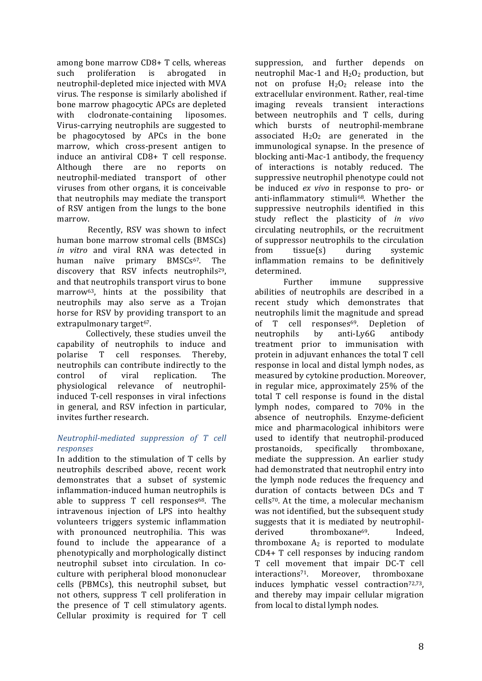among bone marrow CD8+ T cells, whereas such proliferation is abrogated in neutrophil-depleted mice injected with MVA virus. The response is similarly abolished if bone marrow phagocytic APCs are depleted with clodronate-containing liposomes. Virus-carrying neutrophils are suggested to be phagocytosed by APCs in the bone marrow, which cross-present antigen to induce an antiviral CD8+ T cell response. Although there are no reports on neutrophil-mediated transport of other viruses from other organs, it is conceivable that neutrophils may mediate the transport of RSV antigen from the lungs to the bone marrow.

Recently, RSV was shown to infect human bone marrow stromal cells (BMSCs) *in* vitro and viral RNA was detected in human naïve primary BMSCs<sup>67</sup>. The discovery that RSV infects neutrophils<sup>29</sup>. and that neutrophils transport virus to bone marrow<sup>63</sup>, hints at the possibility that neutrophils may also serve as a Trojan horse for RSV by providing transport to an extrapulmonary target<sup>67</sup>.

Collectively, these studies unveil the capability of neutrophils to induce and polarise T cell responses. Thereby, neutrophils can contribute indirectly to the control of viral replication. The physiological relevance of neutrophilinduced T-cell responses in viral infections in general, and RSV infection in particular, invites further research.

### *Neutrophil-mediated suppression of T cell responses*

In addition to the stimulation of  $T$  cells by neutrophils described above, recent work demonstrates that a subset of systemic inflammation-induced human neutrophils is able to suppress  $T$  cell responses<sup>68</sup>. The intravenous injection of LPS into healthy volunteers triggers systemic inflammation with pronounced neutrophilia. This was found to include the appearance of a phenotypically and morphologically distinct neutrophil subset into circulation. In coculture with peripheral blood mononuclear cells (PBMCs), this neutrophil subset, but not others, suppress T cell proliferation in the presence of T cell stimulatory agents. Cellular proximity is required for T cell

suppression, and further depends on neutrophil Mac-1 and  $H_2O_2$  production, but not on profuse  $H_2O_2$  release into the extracellular environment. Rather, real-time imaging reveals transient interactions between neutrophils and T cells, during which bursts of neutrophil-membrane associated  $H_2O_2$  are generated in the immunological synapse. In the presence of blocking anti-Mac-1 antibody, the frequency of interactions is notably reduced. The suppressive neutrophil phenotype could not be induced *ex vivo* in response to pro- or anti-inflammatory stimuli<sup>68</sup>. Whether the suppressive neutrophils identified in this study reflect the plasticity of *in vivo* circulating neutrophils, or the recruitment of suppressor neutrophils to the circulation from tissue(s) during systemic inflammation remains to be definitively determined.

Further immune suppressive abilities of neutrophils are described in a recent study which demonstrates that neutrophils limit the magnitude and spread of T cell responses<sup>69</sup>. Depletion of neutrophils by anti-Ly6G antibody treatment prior to immunisation with protein in adjuvant enhances the total T cell response in local and distal lymph nodes, as measured by cytokine production. Moreover, in regular mice, approximately 25% of the total T cell response is found in the distal lymph nodes, compared to 70% in the absence of neutrophils. Enzyme-deficient mice and pharmacological inhibitors were used to identify that neutrophil-produced prostanoids, specifically thromboxane, mediate the suppression. An earlier study had demonstrated that neutrophil entry into the lymph node reduces the frequency and duration of contacts between DCs and T cells<sup>70</sup>. At the time, a molecular mechanism was not identified, but the subsequent study suggests that it is mediated by neutrophilderived thromboxane<sup>69</sup>. Indeed, thromboxane  $A_2$  is reported to modulate  $CD4+T$  cell responses by inducing random T cell movement that impair DC-T cell interactions<sup>71</sup>. Moreover, thromboxane induces lymphatic vessel contraction<sup>72,73</sup>, and thereby may impair cellular migration from local to distal lymph nodes.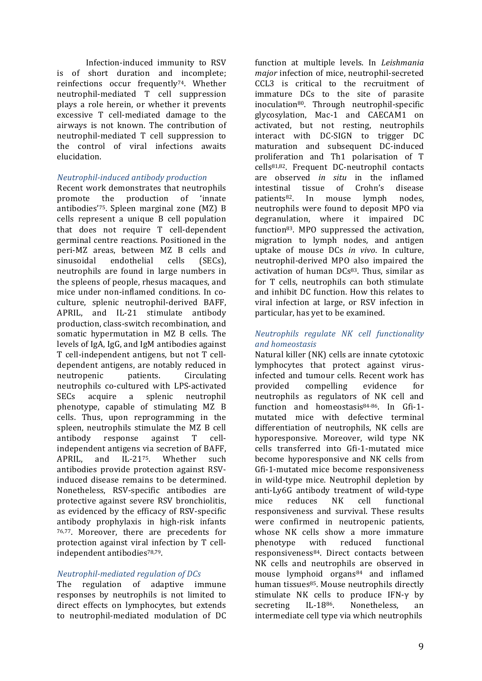Infection-induced immunity to RSV is of short duration and incomplete: reinfections occur frequently<sup>74</sup>. Whether neutrophil-mediated T cell suppression plays a role herein, or whether it prevents excessive T cell-mediated damage to the airways is not known. The contribution of neutrophil-mediated T cell suppression to the control of viral infections awaits elucidation.

### *Neutrophil-induced antibody production*

Recent work demonstrates that neutrophils promote the production of 'innate antibodies'<sup>75</sup>. Spleen marginal zone  $(MZ)$  B cells represent a unique B cell population that does not require T cell-dependent germinal centre reactions. Positioned in the peri-MZ areas, between MZ B cells and sinusoidal endothelial cells (SECs), neutrophils are found in large numbers in the spleens of people, rhesus macaques, and mice under non-inflamed conditions. In coculture, splenic neutrophil-derived BAFF, APRIL, and IL-21 stimulate antibody production, class-switch recombination, and somatic hypermutation in MZ B cells. The levels of IgA, IgG, and IgM antibodies against T cell-independent antigens, but not T celldependent antigens, are notably reduced in neutropenic patients. Circulating neutrophils co-cultured with LPS-activated SECs acquire a splenic neutrophil phenotype, capable of stimulating MZ B cells. Thus, upon reprogramming in the spleen, neutrophils stimulate the MZ B cell antibody response against T cellindependent antigens via secretion of BAFF. APRIL, and IL-2175 Whether such antibodies provide protection against RSVinduced disease remains to be determined. Nonetheless, RSV-specific antibodies are protective against severe RSV bronchiolitis, as evidenced by the efficacy of RSV-specific antibody prophylaxis in high-risk infants 76,77. Moreover, there are precedents for protection against viral infection by T cellindependent antibodies<sup>78,79</sup>.

# *Neutrophil-mediated regulation of DCs*

The regulation of adaptive immune responses by neutrophils is not limited to direct effects on lymphocytes, but extends to neutrophil-mediated modulation of DC

function at multiple levels. In *Leishmania major* infection of mice, neutrophil-secreted CCL3 is critical to the recruitment of immature DCs to the site of parasite inoculation<sup>80</sup>. Through neutrophil-specific glycosylation, Mac-1 and CAECAM1 on activated, but not resting, neutrophils interact with DC-SIGN to trigger DC maturation and subsequent DC-induced proliferation and Th1 polarisation of T cells81,82. Frequent DC-neutrophil contacts are observed *in* situ in the inflamed intestinal tissue of Crohn's disease patients<sup>82</sup>. In mouse lymph nodes, neutrophils were found to deposit MPO via degranulation, where it impaired DC function<sup>83</sup>. MPO suppressed the activation. migration to lymph nodes, and antigen uptake of mouse DCs *in vivo*. In culture, neutrophil-derived MPO also impaired the activation of human  $DCs^{83}$ . Thus, similar as for T cells, neutrophils can both stimulate and inhibit DC function. How this relates to viral infection at large, or RSV infection in particular, has yet to be examined.

### *Neutrophils regulate NK cell functionality and homeostasis*

Natural killer (NK) cells are innate cytotoxic lymphocytes that protect against virusinfected and tumour cells. Recent work has provided compelling evidence for neutrophils as regulators of NK cell and function and homeostasis<sup>84-86</sup>. In Gfi-1mutated mice with defective terminal differentiation of neutrophils, NK cells are hyporesponsive. Moreover, wild type NK cells transferred into Gfi-1-mutated mice become hyporesponsive and NK cells from Gfi-1-mutated mice become responsiveness in wild-type mice. Neutrophil depletion by anti-Ly6G antibody treatment of wild-type mice reduces NK cell functional responsiveness and survival. These results were confirmed in neutropenic patients, whose NK cells show a more immature phenotype with reduced functional responsiveness<sup>84</sup>. Direct contacts between NK cells and neutrophils are observed in mouse lymphoid organs<sup>84</sup> and inflamed human tissues<sup>85</sup>. Mouse neutrophils directly stimulate NK cells to produce IFN-γ by secreting IL-18<sup>86</sup>. Nonetheless, an intermediate cell type via which neutrophils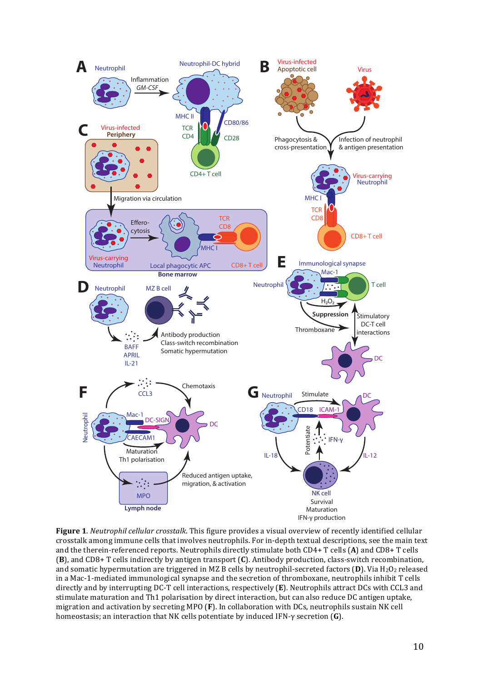

**Figure 1**. *Neutrophil cellular crosstalk*. This figure provides a visual overview of recently identified cellular crosstalk among immune cells that involves neutrophils. For in-depth textual descriptions, see the main text and the therein-referenced reports. Neutrophils directly stimulate both CD4+ T cells (A) and CD8+ T cells **(B)**, and CD8+ T cells indirectly by antigen transport **(C)**. Antibody production, class-switch recombination, and somatic hypermutation are triggered in MZ B cells by neutrophil-secreted factors  $(D)$ . Via  $H_2O_2$  released in a Mac-1-mediated immunological synapse and the secretion of thromboxane, neutrophils inhibit T cells directly and by interrupting DC-T cell interactions, respectively (E). Neutrophils attract DCs with CCL3 and stimulate maturation and Th1 polarisation by direct interaction, but can also reduce DC antigen uptake, migration and activation by secreting MPO (F). In collaboration with DCs, neutrophils sustain NK cell homeostasis; an interaction that NK cells potentiate by induced IFN-γ secretion (**G**).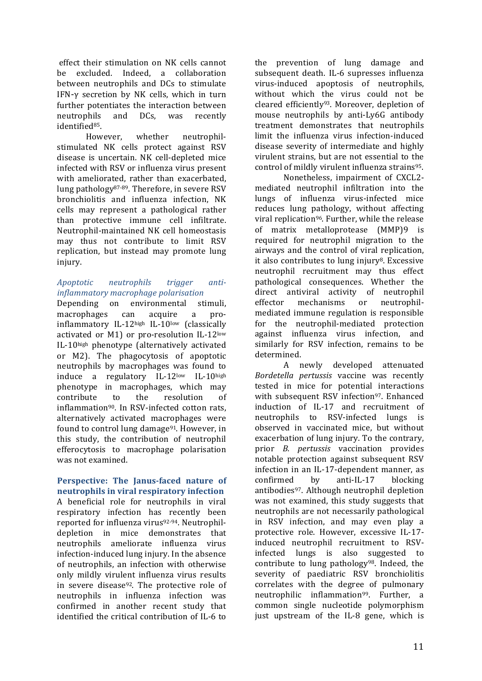effect their stimulation on NK cells cannot be excluded. Indeed, a collaboration between neutrophils and DCs to stimulate IFN- $\gamma$  secretion by NK cells, which in turn further potentiates the interaction between neutrophils and DCs, was recently identified<sup>85</sup>.

However, whether neutrophilstimulated NK cells protect against RSV disease is uncertain. NK cell-depleted mice infected with RSV or influenza virus present with ameliorated, rather than exacerbated, lung pathology<sup>87-89</sup>. Therefore, in severe RSV bronchiolitis and influenza infection, NK cells may represent a pathological rather than protective immune cell infiltrate. Neutrophil-maintained NK cell homeostasis may thus not contribute to limit RSV replication, but instead may promote lung injury.

### *Apoptotic neutrophils trigger antiinflammatory macrophage polarisation*

Depending on environmental stimuli, macrophages can acquire a proinflammatory IL-12high IL-10low (classically activated or M1) or pro-resolution  $IL-12$ <sup>low</sup> IL-10high phenotype (alternatively activated or M2). The phagocytosis of apoptotic neutrophils by macrophages was found to induce a regulatory IL-12low IL-10high phenotype in macrophages, which may contribute to the resolution of inflammation<sup>90</sup>. In RSV-infected cotton rats, alternatively activated macrophages were found to control lung damage<sup>91</sup>. However, in this study, the contribution of neutrophil efferocytosis to macrophage polarisation was not examined.

### **Perspective:** The Janus-faced nature of **neutrophils in viral respiratory infection**

A beneficial role for neutrophils in viral respiratory infection has recently been reported for influenza virus<sup>92-94</sup>. Neutrophildepletion in mice demonstrates that neutrophils ameliorate influenza virus infection-induced lung injury. In the absence of neutrophils, an infection with otherwise only mildly virulent influenza virus results in severe disease<sup>92</sup>. The protective role of neutrophils in influenza infection was confirmed in another recent study that identified the critical contribution of IL-6 to

the prevention of lung damage and subsequent death. IL-6 supresses influenza virus-induced apoptosis of neutrophils, without which the virus could not be cleared efficiently<sup>93</sup>. Moreover, depletion of mouse neutrophils by anti-Ly6G antibody treatment demonstrates that neutrophils limit the influenza virus infection-induced disease severity of intermediate and highly virulent strains, but are not essential to the control of mildly virulent influenza strains<sup>95</sup>.

Nonetheless, impairment of CXCL2mediated neutrophil infiltration into the lungs of influenza virus-infected mice reduces lung pathology, without affecting viral replication<sup>96</sup>. Further, while the release of matrix metalloprotease (MMP)9 is required for neutrophil migration to the airways and the control of viral replication, it also contributes to lung injury<sup>8</sup>. Excessive neutrophil recruitment may thus effect pathological consequences. Whether the direct antiviral activity of neutrophil effector mechanisms or neutrophilmediated immune regulation is responsible for the neutrophil-mediated protection against influenza virus infection, and similarly for RSV infection, remains to be determined.

A newly developed attenuated *Bordetella pertussis* vaccine was recently tested in mice for potential interactions with subsequent RSV infection<sup>97</sup>. Enhanced induction of IL-17 and recruitment of neutrophils to RSV-infected lungs is observed in vaccinated mice, but without exacerbation of lung injury. To the contrary, prior *B. pertussis* vaccination provides notable protection against subsequent RSV infection in an IL-17-dependent manner, as confirmed by anti-IL-17 blocking antibodies<sup>97</sup>. Although neutrophil depletion was not examined, this study suggests that neutrophils are not necessarily pathological in RSV infection, and may even play a protective role. However, excessive IL-17induced neutrophil recruitment to RSVinfected lungs is also suggested to contribute to lung pathology<sup>98</sup>. Indeed, the severity of paediatric RSV bronchiolitis correlates with the degree of pulmonary neutrophilic inflammation<sup>99</sup>. Further, a common single nucleotide polymorphism just upstream of the IL-8 gene, which is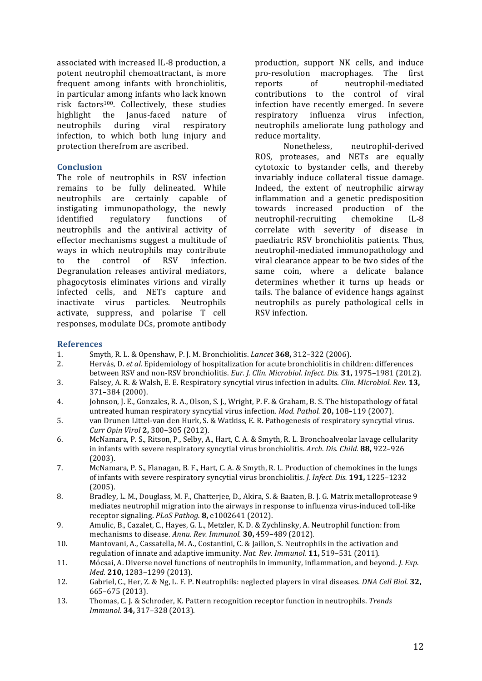associated with increased IL-8 production, a potent neutrophil chemoattractant, is more frequent among infants with bronchiolitis, in particular among infants who lack known risk factors100. Collectively, these studies highlight the Janus-faced nature of neutrophils during viral respiratory infection, to which both lung injury and protection therefrom are ascribed.

#### **Conclusion**

The role of neutrophils in RSV infection remains to be fully delineated. While neutrophils are certainly capable of instigating immunopathology, the newly identified regulatory functions of neutrophils and the antiviral activity of effector mechanisms suggest a multitude of ways in which neutrophils may contribute to the control of RSV infection. Degranulation releases antiviral mediators, phagocytosis eliminates virions and virally infected cells, and NETs capture and inactivate virus particles. Neutrophils activate, suppress, and polarise T cell responses, modulate DCs, promote antibody production, support NK cells, and induce pro-resolution macrophages. The first reports of neutrophil-mediated contributions to the control of viral infection have recently emerged. In severe respiratory influenza virus infection, neutrophils ameliorate lung pathology and reduce mortality.

Nonetheless, neutrophil-derived ROS, proteases, and NETs are equally cytotoxic to bystander cells, and thereby invariably induce collateral tissue damage. Indeed, the extent of neutrophilic airway inflammation and a genetic predisposition towards increased production of the neutrophil-recruiting chemokine IL-8 correlate with severity of disease in paediatric RSV bronchiolitis patients. Thus, neutrophil-mediated immunopathology and viral clearance appear to be two sides of the same coin, where a delicate balance determines whether it turns up heads or tails. The balance of evidence hangs against neutrophils as purely pathological cells in RSV infection.

#### **References**

- 1. Smyth, R. L. & Openshaw, P. J. M. Bronchiolitis. *Lancet* **368,** 312–322 (2006).
- 2. Hervás, D. *et al.* Epidemiology of hospitalization for acute bronchiolitis in children: differences between RSV and non-RSV bronchiolitis. *Eur. J. Clin. Microbiol. Infect. Dis.* 31, 1975-1981 (2012). 3. Falsey, A. R. & Walsh, E. E. Respiratory syncytial virus infection in adults. *Clin. Microbiol. Rev.* 13,
- 371–384 (2000).
- 4. Johnson, J. E., Gonzales, R. A., Olson, S. J., Wright, P. F. & Graham, B. S. The histopathology of fatal untreated human respiratory syncytial virus infection. *Mod. Pathol.* **20.** 108–119 (2007).
- 5. van Drunen Littel-van den Hurk, S. & Watkiss, E. R. Pathogenesis of respiratory syncytial virus. *Curr Opin Virol* **2,** 300–305 (2012).
- 6. McNamara, P. S., Ritson, P., Selby, A., Hart, C. A. & Smyth, R. L. Bronchoalveolar lavage cellularity in infants with severe respiratory syncytial virus bronchiolitis. *Arch. Dis. Child.* **88**, 922–926 (2003).
- 7. McNamara, P. S., Flanagan, B. F., Hart, C. A. & Smyth, R. L. Production of chemokines in the lungs of infants with severe respiratory syncytial virus bronchiolitis. *J. Infect. Dis.* 191, 1225–1232 (2005).
- 8. Bradley, L. M., Douglass, M. F., Chatterjee, D., Akira, S. & Baaten, B. J. G. Matrix metalloprotease 9 mediates neutrophil migration into the airways in response to influenza virus-induced toll-like receptor signaling. *PLoS Pathog.* **8**, e1002641 (2012).
- 9. Amulic, B., Cazalet, C., Hayes, G. L., Metzler, K. D. & Zychlinsky, A. Neutrophil function: from mechanisms to disease. Annu. Rev. Immunol. **30,** 459-489 (2012).
- 10. Mantovani, A., Cassatella, M. A., Costantini, C. & Jaillon, S. Neutrophils in the activation and regulation of innate and adaptive immunity. *Nat. Rev. Immunol.* **11**, 519–531 (2011).
- 11. Mócsai, A. Diverse novel functions of neutrophils in immunity, inflammation, and beyond. *I. Exp. Med.* **210,** 1283–1299 (2013).
- 12. Gabriel, C., Her, Z. & Ng, L. F. P. Neutrophils: neglected players in viral diseases. *DNA Cell Biol.* **32,** 665–675 (2013).
- 13. Thomas, C. J. & Schroder, K. Pattern recognition receptor function in neutrophils. *Trends Immunol.* **34,** 317–328 (2013).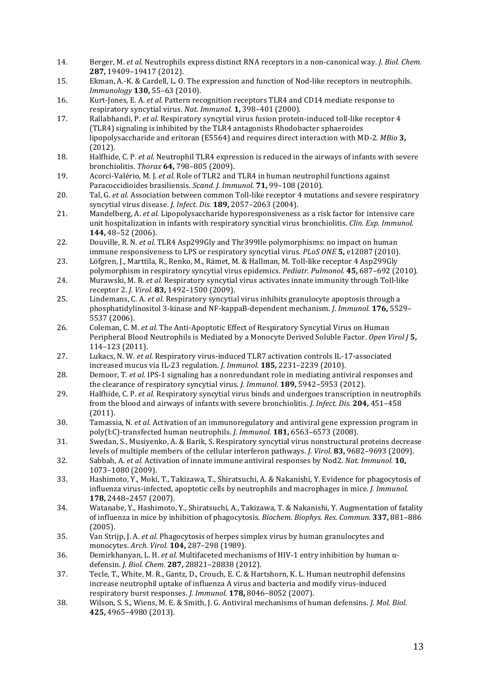- 14. Berger, M. *et al.* Neutrophils express distinct RNA receptors in a non-canonical way. *J. Biol. Chem.* **287,** 19409–19417 (2012).
- 15. Ekman, A.-K. & Cardell, L. O. The expression and function of Nod-like receptors in neutrophils. *Immunology* **130,** 55–63 (2010).
- 16. Kurt-Jones, E. A. *et al.* Pattern recognition receptors TLR4 and CD14 mediate response to respiratory syncytial virus. *Nat. Immunol.* **1**, 398-401 (2000).
- 17. Rallabhandi, P. et al. Respiratory syncytial virus fusion protein-induced toll-like receptor 4 (TLR4) signaling is inhibited by the TLR4 antagonists Rhodobacter sphaeroides lipopolysaccharide and eritoran (E5564) and requires direct interaction with MD-2. *MBio* **3**, (2012).
- 18. Halfhide, C. P. *et al.* Neutrophil TLR4 expression is reduced in the airways of infants with severe bronchiolitis. *Thorax* **64,** 798–805 (2009).
- 19. Acorci-Valério, M. I. *et al.* Role of TLR2 and TLR4 in human neutrophil functions against Paracoccidioides brasiliensis. *Scand. J. Immunol.* **71**, 99-108 (2010).
- 20. Tal, G. *et al.* Association between common Toll-like receptor 4 mutations and severe respiratory syncytial virus disease. *J. Infect. Dis.* **189,** 2057–2063 (2004).
- 21. Mandelberg, A. *et al.* Lipopolysaccharide hyporesponsiveness as a risk factor for intensive care unit hospitalization in infants with respiratory syncitial virus bronchiolitis. *Clin. Exp. Immunol.* **144,** 48–52 (2006).
- 22. Douville, R. N. *et al.* TLR4 Asp299Gly and Thr399Ile polymorphisms: no impact on human immune responsiveness to LPS or respiratory syncytial virus. *PLoS ONE* **5**, e12087 (2010).
- 23. Löfgren, J., Marttila, R., Renko, M., Rämet, M. & Hallman, M. Toll-like receptor 4 Asp299Gly polymorphism in respiratory syncytial virus epidemics. *Pediatr. Pulmonol.* **45,** 687–692 (2010).
- 24. Murawski, M. R. *et al.* Respiratory syncytial virus activates innate immunity through Toll-like receptor 2. *J. Virol.* **83,** 1492–1500 (2009).
- 25. Lindemans, C. A. *et al.* Respiratory syncytial virus inhibits granulocyte apoptosis through a phosphatidylinositol 3-kinase and NF-kappaB-dependent mechanism. *J. Immunol.* **176,** 5529– 5537 (2006).
- 26. Coleman, C. M. *et al.* The Anti-Apoptotic Effect of Respiratory Syncytial Virus on Human Peripheral Blood Neutrophils is Mediated by a Monocyte Derived Soluble Factor. Open Virol [5, 114–123 (2011).
- 27. Lukacs, N. W. *et al.* Respiratory virus-induced TLR7 activation controls IL-17-associated increased mucus via IL-23 regulation. *J. Immunol.* **185,** 2231–2239 (2010).
- 28. Demoor, T. *et al.* IPS-1 signaling has a nonredundant role in mediating antiviral responses and the clearance of respiratory syncytial virus. *J. Immunol.* **189,** 5942-5953 (2012).
- 29. Halfhide, C. P. *et al.* Respiratory syncytial virus binds and undergoes transcription in neutrophils from the blood and airways of infants with severe bronchiolitis. *J. Infect. Dis.* 204, 451–458 (2011).
- 30. Tamassia, N. *et al.* Activation of an immunoregulatory and antiviral gene expression program in poly(I:C)-transfected human neutrophils. *J. Immunol.* **181,** 6563-6573 (2008).
- 31. Swedan, S., Musiyenko, A. & Barik, S. Respiratory syncytial virus nonstructural proteins decrease levels of multiple members of the cellular interferon pathways. *J. Virol.* **83,** 9682–9693 (2009).
- 32. Sabbah, A. *et al.* Activation of innate immune antiviral responses by Nod2. *Nat. Immunol.* **10**, 1073–1080 (2009).
- 33. Hashimoto, Y., Moki, T., Takizawa, T., Shiratsuchi, A. & Nakanishi, Y. Evidence for phagocytosis of influenza virus-infected, apoptotic cells by neutrophils and macrophages in mice. *J. Immunol.* **178,** 2448–2457 (2007).
- 34. Watanabe, Y., Hashimoto, Y., Shiratsuchi, A., Takizawa, T. & Nakanishi, Y. Augmentation of fatality of influenza in mice by inhibition of phagocytosis. *Biochem. Biophys. Res. Commun.* **337,** 881-886 (2005).
- 35. Van Strijp, J. A. *et al.* Phagocytosis of herpes simplex virus by human granulocytes and monocytes. *Arch. Virol.* **104,** 287–298 (1989).
- 36. Demirkhanyan, L. H. *et al.* Multifaceted mechanisms of HIV-1 entry inhibition by human αdefensin. *J. Biol. Chem.* **287,** 28821–28838 (2012).
- 37. Tecle, T., White, M. R., Gantz, D., Crouch, E. C. & Hartshorn, K. L. Human neutrophil defensins increase neutrophil uptake of influenza A virus and bacteria and modify virus-induced respiratory burst responses. *J. Immunol.* **178,** 8046–8052 (2007).
- 38. Wilson, S. S., Wiens, M. E. & Smith, J. G. Antiviral mechanisms of human defensins. *J. Mol. Biol.* **425,** 4965–4980 (2013).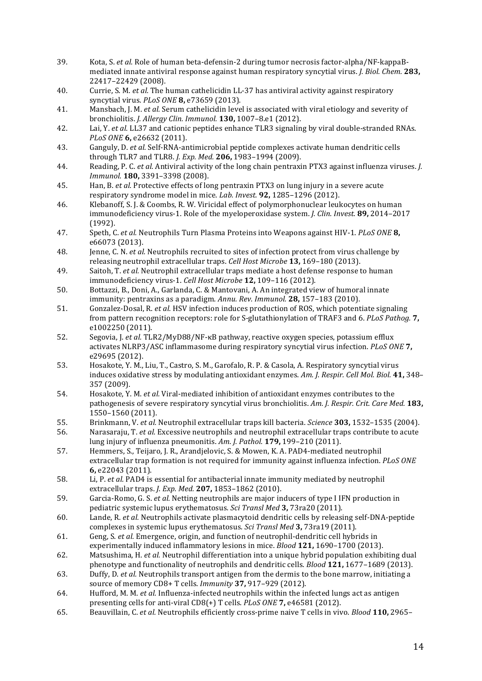- 39. Kota, S. *et al.* Role of human beta-defensin-2 during tumor necrosis factor-alpha/NF-kappaBmediated innate antiviral response against human respiratory syncytial virus. *J. Biol. Chem.* 283, 22417–22429 (2008).
- 40. Currie, S. M. *et al.* The human cathelicidin LL-37 has antiviral activity against respiratory syncytial virus. *PLoS ONE* **8,** e73659 (2013).
- 41. Mansbach, J. M. *et al.* Serum cathelicidin level is associated with viral etiology and severity of bronchiolitis. *J. Allergy Clin. Immunol.* **130,** 1007–8.e1 (2012).
- 42. Lai, Y. *et al.* LL37 and cationic peptides enhance TLR3 signaling by viral double-stranded RNAs. *PLoS ONE* **6,** e26632 (2011).
- 43. Ganguly, D. *et al.* Self-RNA-antimicrobial peptide complexes activate human dendritic cells through TLR7 and TLR8. *J. Exp. Med.* **206,** 1983–1994 (2009).
- 44. Reading, P. C. *et al.* Antiviral activity of the long chain pentraxin PTX3 against influenza viruses. *J. Immunol.* **180,** 3391–3398 (2008).
- 45. Han, B. *et al.* Protective effects of long pentraxin PTX3 on lung injury in a severe acute respiratory syndrome model in mice. *Lab. Invest.* **92**, 1285-1296 (2012).
- 46. Klebanoff, S. J. & Coombs, R. W. Viricidal effect of polymorphonuclear leukocytes on human immunodeficiency virus-1. Role of the myeloperoxidase system. *J. Clin. Invest.* **89**, 2014–2017 (1992).
- 47. Speth, C. *et al.* Neutrophils Turn Plasma Proteins into Weapons against HIV-1. *PLoS ONE* 8, e66073 (2013).
- 48. Jenne, C. N. *et al.* Neutrophils recruited to sites of infection protect from virus challenge by releasing neutrophil extracellular traps. *Cell Host Microbe* 13, 169-180 (2013).
- 49. Saitoh, T. *et al.* Neutrophil extracellular traps mediate a host defense response to human immunodeficiency virus-1. *Cell Host Microbe* **12,** 109–116 (2012).
- 50. Bottazzi, B., Doni, A., Garlanda, C. & Mantovani, A. An integrated view of humoral innate immunity: pentraxins as a paradigm. Annu. Rev. Immunol. **28,** 157-183 (2010).
- 51. Gonzalez-Dosal, R. *et al.* HSV infection induces production of ROS, which potentiate signaling from pattern recognition receptors: role for S-glutathionylation of TRAF3 and 6. *PLoS Pathog.* **7,** e1002250 (2011).
- 52. Segovia, J. *et al.* TLR2/MyD88/NF-<sub>KB</sub> pathway, reactive oxygen species, potassium efflux activates NLRP3/ASC inflammasome during respiratory syncytial virus infection. *PLoS ONE* 7, e29695 (2012).
- 53. Hosakote, Y. M., Liu, T., Castro, S. M., Garofalo, R. P. & Casola, A. Respiratory syncytial virus induces oxidative stress by modulating antioxidant enzymes. Am. J. Respir. Cell Mol. Biol. 41, 348– 357 (2009).
- 54. Hosakote, Y. M. *et al.* Viral-mediated inhibition of antioxidant enzymes contributes to the pathogenesis of severe respiratory syncytial virus bronchiolitis. Am. *I. Respir. Crit. Care Med.* **183.** 1550–1560 (2011).
- 55. Brinkmann, V. *et al.* Neutrophil extracellular traps kill bacteria. *Science* **303,** 1532–1535 (2004).
- 56. Narasaraju, T. *et al.* Excessive neutrophils and neutrophil extracellular traps contribute to acute lung injury of influenza pneumonitis. Am. J. Pathol. **179**, 199-210 (2011).
- 57. Hemmers, S., Teijaro, J. R., Arandielovic, S. & Mowen, K. A. PAD4-mediated neutrophil extracellular trap formation is not required for immunity against influenza infection. *PLoS ONE* **6,** e22043 (2011).
- 58. Li, P. *et al.* PAD4 is essential for antibacterial innate immunity mediated by neutrophil extracellular traps. *J. Exp. Med.* **207,** 1853-1862 (2010).
- 59. Garcia-Romo, G. S. *et al.* Netting neutrophils are major inducers of type I IFN production in pediatric systemic lupus erythematosus. *Sci Transl Med* 3, 73ra20 (2011).
- 60. Lande, R. *et al.* Neutrophils activate plasmacytoid dendritic cells by releasing self-DNA-peptide complexes in systemic lupus erythematosus. *Sci Transl Med* 3, 73ra19 (2011).
- 61. Geng, *S. et al.* Emergence, origin, and function of neutrophil-dendritic cell hybrids in experimentally induced inflammatory lesions in mice. *Blood* 121, 1690-1700 (2013).
- 62. Matsushima, H. *et al.* Neutrophil differentiation into a unique hybrid population exhibiting dual phenotype and functionality of neutrophils and dendritic cells. *Blood* 121, 1677-1689 (2013).
- 63. Duffy, D. *et al.* Neutrophils transport antigen from the dermis to the bone marrow, initiating a source of memory CD8+ T cells. *Immunity* 37, 917-929 (2012).
- 64. Hufford, M. M. *et al.* Influenza-infected neutrophils within the infected lungs act as antigen presenting cells for anti-viral CD8(+) T cells. *PLoS ONE* 7, e46581 (2012).
- 65. Beauvillain, C. *et al.* Neutrophils efficiently cross-prime naive T cells in vivo. *Blood* **110**, 2965–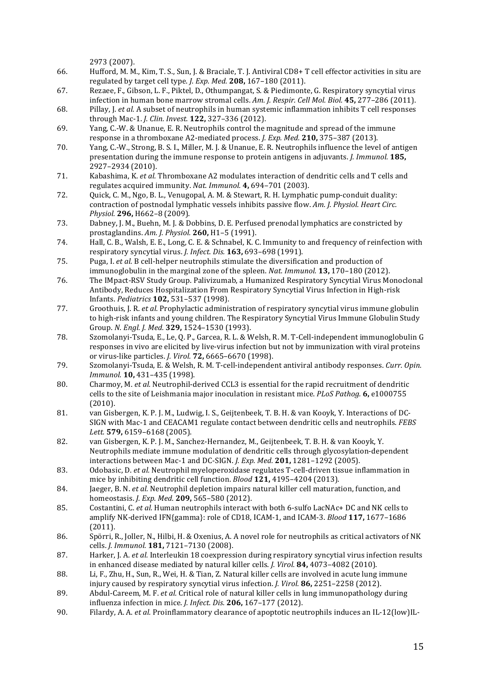2973 (2007).

- 66. Hufford, M. M., Kim, T. S., Sun, J. & Braciale, T. J. Antiviral CD8+ T cell effector activities in situ are regulated by target cell type. *J. Exp. Med.* **208**, 167-180 (2011).
- 67. Rezaee, F., Gibson, L. F., Piktel, D., Othumpangat, S. & Piedimonte, G. Respiratory syncytial virus infection in human bone marrow stromal cells. Am. J. Respir. Cell Mol. Biol. **45,** 277-286 (2011).
- 68. Pillay, J. *et al.* A subset of neutrophils in human systemic inflammation inhibits T cell responses through Mac-1. *J. Clin. Invest.* **122,** 327–336 (2012).
- 69. Yang, C.-W. & Unanue, E. R. Neutrophils control the magnitude and spread of the immune response in a thromboxane A2-mediated process. *J. Exp. Med.* **210**, 375–387 (2013).
- 70. Yang, C.-W., Strong, B. S. I., Miller, M. J. & Unanue, E. R. Neutrophils influence the level of antigen presentation during the immune response to protein antigens in adjuvants. *J. Immunol.* **185,** 2927–2934 (2010).
- 71. Kabashima, K. *et al.* Thromboxane A2 modulates interaction of dendritic cells and T cells and regulates acquired immunity. *Nat. Immunol.* **4,** 694–701 (2003).
- 72. Quick, C. M., Ngo, B. L., Venugopal, A. M. & Stewart, R. H. Lymphatic pump-conduit duality: contraction of postnodal lymphatic vessels inhibits passive flow. *Am. I. Physiol. Heart Circ. Physiol.* **296,** H662–8 (2009).
- 73. Dabney, J. M., Buehn, M. J. & Dobbins, D. E. Perfused prenodal lymphatics are constricted by prostaglandins. *Am. J. Physiol.* **260,** H1–5 (1991).
- 74. Hall, C. B., Walsh, E. E., Long, C. E. & Schnabel, K. C. Immunity to and frequency of reinfection with respiratory syncytial virus. *J. Infect. Dis.* **163,** 693–698 (1991).
- 75. Puga, I. *et al.* B cell-helper neutrophils stimulate the diversification and production of immunoglobulin in the marginal zone of the spleen. *Nat. Immunol.* **13,** 170–180 (2012).
- 76. The IMpact-RSV Study Group. Palivizumab, a Humanized Respiratory Syncytial Virus Monoclonal Antibody, Reduces Hospitalization From Respiratory Syncytial Virus Infection in High-risk Infants. *Pediatrics* **102,** 531–537 (1998).
- 77. Groothuis, I. R. *et al.* Prophylactic administration of respiratory syncytial virus immune globulin to high-risk infants and young children. The Respiratory Syncytial Virus Immune Globulin Study Group. *N. Engl. J. Med.* **329,** 1524–1530 (1993).
- 78. Szomolanyi-Tsuda, E., Le, Q. P., Garcea, R. L. & Welsh, R. M. T-Cell-independent immunoglobulin G responses in vivo are elicited by live-virus infection but not by immunization with viral proteins or virus-like particles. *J. Virol.* **72,** 6665–6670 (1998).
- 79. Szomolanyi-Tsuda, E. & Welsh, R. M. T-cell-independent antiviral antibody responses. Curr. Opin. *Immunol.* **10,** 431–435 (1998).
- 80. Charmoy, M. *et al.* Neutrophil-derived CCL3 is essential for the rapid recruitment of dendritic cells to the site of Leishmania major inoculation in resistant mice. *PLoS Pathog.* 6, e1000755 (2010).
- 81. van Gisbergen, K. P. J. M., Ludwig, I. S., Geijtenbeek, T. B. H. & van Kooyk, Y. Interactions of DC-SIGN with Mac-1 and CEACAM1 regulate contact between dendritic cells and neutrophils. *FEBS Lett.* **579,** 6159–6168 (2005).
- 82. van Gisbergen, K. P. J. M., Sanchez-Hernandez, M., Geijtenbeek, T. B. H. & van Kooyk, Y. Neutrophils mediate immune modulation of dendritic cells through glycosylation-dependent interactions between Mac-1 and DC-SIGN. *J. Exp. Med.* **201,** 1281–1292 (2005).
- 83. Odobasic, D. *et al.* Neutrophil myeloperoxidase regulates T-cell-driven tissue inflammation in mice by inhibiting dendritic cell function. *Blood* **121**, 4195–4204 (2013).
- 84. Jaeger, B. N. *et al.* Neutrophil depletion impairs natural killer cell maturation, function, and homeostasis. *J. Exp. Med.* **209,** 565–580 (2012).
- 85. Costantini, C. *et al.* Human neutrophils interact with both 6-sulfo LacNAc+ DC and NK cells to amplify NK-derived IFN{gamma}: role of CD18, ICAM-1, and ICAM-3. *Blood* 117, 1677-1686 (2011).
- 86. Spörri, R., Joller, N., Hilbi, H. & Oxenius, A. A novel role for neutrophils as critical activators of NK cells. *J. Immunol.* **181,** 7121–7130 (2008).
- 87. Harker, J. A. *et al.* Interleukin 18 coexpression during respiratory syncytial virus infection results in enhanced disease mediated by natural killer cells. *J. Virol.* **84,** 4073-4082 (2010).
- 88. Li, F., Zhu, H., Sun, R., Wei, H. & Tian, Z. Natural killer cells are involved in acute lung immune injury caused by respiratory syncytial virus infection. *J. Virol.* 86, 2251–2258 (2012).
- 89. Abdul-Careem, M. F. *et al.* Critical role of natural killer cells in lung immunopathology during influenza infection in mice. *J. Infect. Dis.* **206,** 167-177 (2012).
- 90. Filardy, A. A. *et al.* Proinflammatory clearance of apoptotic neutrophils induces an IL-12(low)IL-